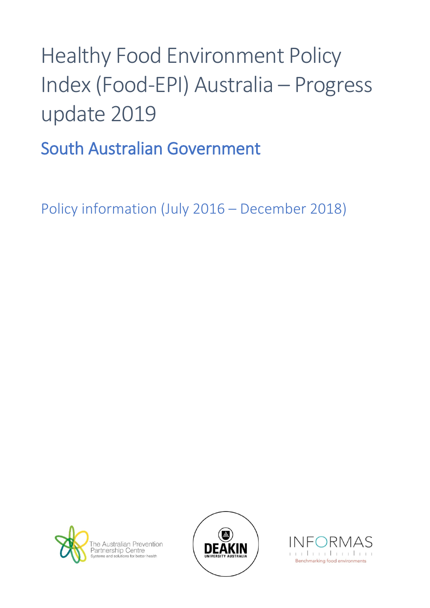## Healthy Food Environment Policy Index (Food-EPI) Australia – Progress update 2019

South Australian Government

Policy information (July 2016 – December 2018)





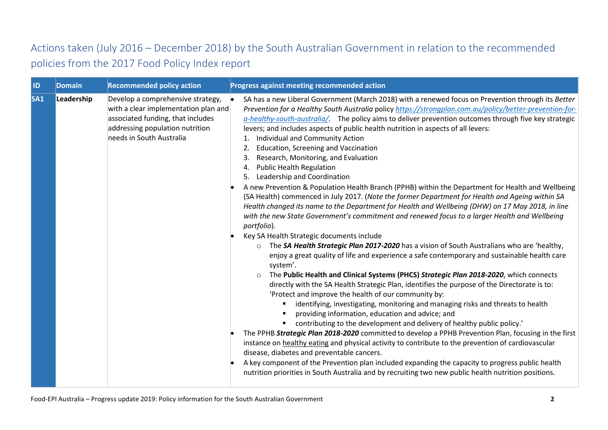## Actions taken (July 2016 – December 2018) by the South Australian Government in relation to the recommended policies from the 2017 Food Policy Index report

| ID              | Domain     | <b>Recommended policy action</b>                                                                                                                                              | Progress against meeting recommended action                                                                                                                                                                                                                                                                                                                                                                                                                                                                                                                                                                                                                                                                                                                                                                                                                                                                                                                                                                                                                                                                                                                                                                                                                                                                                                                                                                                                                                                                                                                                                                                                                                                                                                                                                                                                                                                                                                                                                                                                                                                                                                                                                                                                                         |
|-----------------|------------|-------------------------------------------------------------------------------------------------------------------------------------------------------------------------------|---------------------------------------------------------------------------------------------------------------------------------------------------------------------------------------------------------------------------------------------------------------------------------------------------------------------------------------------------------------------------------------------------------------------------------------------------------------------------------------------------------------------------------------------------------------------------------------------------------------------------------------------------------------------------------------------------------------------------------------------------------------------------------------------------------------------------------------------------------------------------------------------------------------------------------------------------------------------------------------------------------------------------------------------------------------------------------------------------------------------------------------------------------------------------------------------------------------------------------------------------------------------------------------------------------------------------------------------------------------------------------------------------------------------------------------------------------------------------------------------------------------------------------------------------------------------------------------------------------------------------------------------------------------------------------------------------------------------------------------------------------------------------------------------------------------------------------------------------------------------------------------------------------------------------------------------------------------------------------------------------------------------------------------------------------------------------------------------------------------------------------------------------------------------------------------------------------------------------------------------------------------------|
| SA <sub>1</sub> | Leadership | Develop a comprehensive strategy,<br>with a clear implementation plan and<br>associated funding, that includes<br>addressing population nutrition<br>needs in South Australia | SA has a new Liberal Government (March 2018) with a renewed focus on Prevention through its Better<br>Prevention for a Healthy South Australia policy https://strongplan.com.au/policy/better-prevention-for-<br>a-healthy-south-australia/ The policy aims to deliver prevention outcomes through five key strategic<br>levers; and includes aspects of public health nutrition in aspects of all levers:<br>Individual and Community Action<br>Education, Screening and Vaccination<br>2.<br>Research, Monitoring, and Evaluation<br><b>Public Health Regulation</b><br>4.<br>5. Leadership and Coordination<br>A new Prevention & Population Health Branch (PPHB) within the Department for Health and Wellbeing<br>(SA Health) commenced in July 2017. (Note the former Department for Health and Ageing within SA<br>Health changed its name to the Department for Health and Wellbeing (DHW) on 17 May 2018, in line<br>with the new State Government's commitment and renewed focus to a larger Health and Wellbeing<br>portfolio).<br>Key SA Health Strategic documents include<br>The SA Health Strategic Plan 2017-2020 has a vision of South Australians who are 'healthy,<br>$\circ$<br>enjoy a great quality of life and experience a safe contemporary and sustainable health care<br>system'.<br>The Public Health and Clinical Systems (PHCS) Strategic Plan 2018-2020, which connects<br>$\circ$<br>directly with the SA Health Strategic Plan, identifies the purpose of the Directorate is to:<br>'Protect and improve the health of our community by:<br>identifying, investigating, monitoring and managing risks and threats to health<br>providing information, education and advice; and<br>contributing to the development and delivery of healthy public policy.'<br>The PPHB Strategic Plan 2018-2020 committed to develop a PPHB Prevention Plan, focusing in the first<br>instance on healthy eating and physical activity to contribute to the prevention of cardiovascular<br>disease, diabetes and preventable cancers.<br>A key component of the Prevention plan included expanding the capacity to progress public health<br>nutrition priorities in South Australia and by recruiting two new public health nutrition positions. |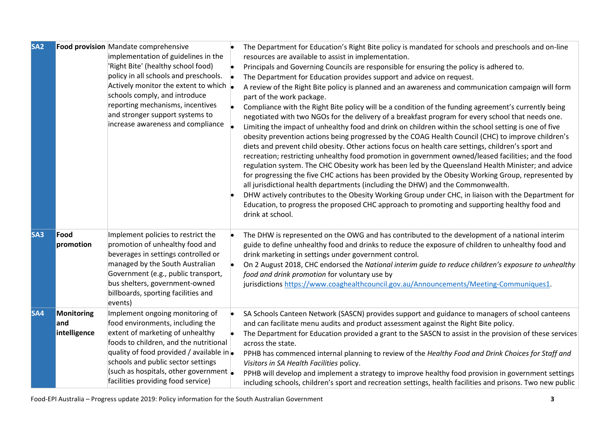| SA <sub>2</sub> |                                   | Food provision Mandate comprehensive<br>implementation of guidelines in the<br>'Right Bite' (healthy school food)<br>policy in all schools and preschools.<br>Actively monitor the extent to which $\vert$<br>schools comply, and introduce<br>reporting mechanisms, incentives<br>and stronger support systems to<br>increase awareness and compliance | The Department for Education's Right Bite policy is mandated for schools and preschools and on-line<br>resources are available to assist in implementation.<br>Principals and Governing Councils are responsible for ensuring the policy is adhered to.<br>The Department for Education provides support and advice on request.<br>A review of the Right Bite policy is planned and an awareness and communication campaign will form<br>part of the work package.<br>Compliance with the Right Bite policy will be a condition of the funding agreement's currently being<br>negotiated with two NGOs for the delivery of a breakfast program for every school that needs one.<br>Limiting the impact of unhealthy food and drink on children within the school setting is one of five<br>obesity prevention actions being progressed by the COAG Health Council (CHC) to improve children's<br>diets and prevent child obesity. Other actions focus on health care settings, children's sport and<br>recreation; restricting unhealthy food promotion in government owned/leased facilities; and the food<br>regulation system. The CHC Obesity work has been led by the Queensland Health Minister; and advice<br>for progressing the five CHC actions has been provided by the Obesity Working Group, represented by<br>all jurisdictional health departments (including the DHW) and the Commonwealth.<br>DHW actively contributes to the Obesity Working Group under CHC, in liaison with the Department for<br>Education, to progress the proposed CHC approach to promoting and supporting healthy food and<br>drink at school. |
|-----------------|-----------------------------------|---------------------------------------------------------------------------------------------------------------------------------------------------------------------------------------------------------------------------------------------------------------------------------------------------------------------------------------------------------|-----------------------------------------------------------------------------------------------------------------------------------------------------------------------------------------------------------------------------------------------------------------------------------------------------------------------------------------------------------------------------------------------------------------------------------------------------------------------------------------------------------------------------------------------------------------------------------------------------------------------------------------------------------------------------------------------------------------------------------------------------------------------------------------------------------------------------------------------------------------------------------------------------------------------------------------------------------------------------------------------------------------------------------------------------------------------------------------------------------------------------------------------------------------------------------------------------------------------------------------------------------------------------------------------------------------------------------------------------------------------------------------------------------------------------------------------------------------------------------------------------------------------------------------------------------------------------------------------------------------------------------------|
| <b>SA3</b>      | Food<br>promotion                 | Implement policies to restrict the<br>promotion of unhealthy food and<br>beverages in settings controlled or<br>managed by the South Australian<br>Government (e.g., public transport,<br>bus shelters, government-owned<br>billboards, sporting facilities and<br>events)                                                                              | The DHW is represented on the OWG and has contributed to the development of a national interim<br>guide to define unhealthy food and drinks to reduce the exposure of children to unhealthy food and<br>drink marketing in settings under government control.<br>On 2 August 2018, CHC endorsed the National interim guide to reduce children's exposure to unhealthy<br>food and drink promotion for voluntary use by<br>jurisdictions https://www.coaghealthcouncil.gov.au/Announcements/Meeting-Communiques1.                                                                                                                                                                                                                                                                                                                                                                                                                                                                                                                                                                                                                                                                                                                                                                                                                                                                                                                                                                                                                                                                                                                        |
| SA4             | Monitoring<br>and<br>intelligence | Implement ongoing monitoring of<br>food environments, including the<br>extent of marketing of unhealthy<br>foods to children, and the nutritional<br>quality of food provided / available in.<br>schools and public sector settings<br>(such as hospitals, other government  .<br>facilities providing food service)                                    | SA Schools Canteen Network (SASCN) provides support and guidance to managers of school canteens<br>and can facilitate menu audits and product assessment against the Right Bite policy.<br>The Department for Education provided a grant to the SASCN to assist in the provision of these services<br>across the state.<br>PPHB has commenced internal planning to review of the Healthy Food and Drink Choices for Staff and<br>Visitors in SA Health Facilities policy.<br>PPHB will develop and implement a strategy to improve healthy food provision in government settings<br>including schools, children's sport and recreation settings, health facilities and prisons. Two new public                                                                                                                                                                                                                                                                                                                                                                                                                                                                                                                                                                                                                                                                                                                                                                                                                                                                                                                                          |

Food-EPI Australia – Progress update 2019: Policy information for the South Australian Government **3**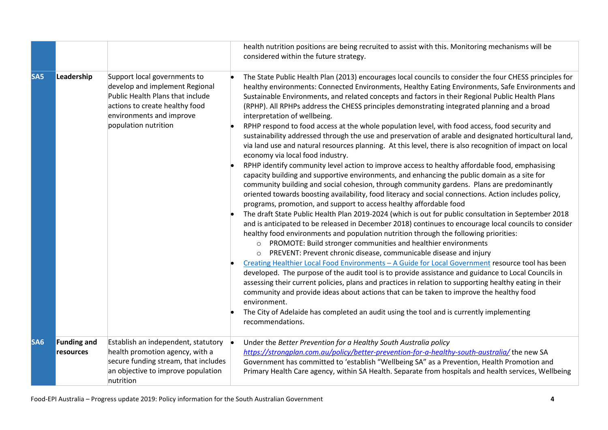|                 |                                 |                                                                                                                                                                                          | health nutrition positions are being recruited to assist with this. Monitoring mechanisms will be<br>considered within the future strategy.                                                                                                                                                                                                                                                                                                                                                                                                                                                                                                                                                                                                                                                                                                                                                                                                                                                                                                                                                                                                                                                                                                                                                                                                                                                                                                                                                                                                                                                                                                                                                                                                                                                                                                                                                                                                                                                                                                                                                                                                                                                                                                                                                            |
|-----------------|---------------------------------|------------------------------------------------------------------------------------------------------------------------------------------------------------------------------------------|--------------------------------------------------------------------------------------------------------------------------------------------------------------------------------------------------------------------------------------------------------------------------------------------------------------------------------------------------------------------------------------------------------------------------------------------------------------------------------------------------------------------------------------------------------------------------------------------------------------------------------------------------------------------------------------------------------------------------------------------------------------------------------------------------------------------------------------------------------------------------------------------------------------------------------------------------------------------------------------------------------------------------------------------------------------------------------------------------------------------------------------------------------------------------------------------------------------------------------------------------------------------------------------------------------------------------------------------------------------------------------------------------------------------------------------------------------------------------------------------------------------------------------------------------------------------------------------------------------------------------------------------------------------------------------------------------------------------------------------------------------------------------------------------------------------------------------------------------------------------------------------------------------------------------------------------------------------------------------------------------------------------------------------------------------------------------------------------------------------------------------------------------------------------------------------------------------------------------------------------------------------------------------------------------------|
| SA <sub>5</sub> | Leadership                      | Support local governments to<br>develop and implement Regional<br>Public Health Plans that include<br>actions to create healthy food<br>environments and improve<br>population nutrition | The State Public Health Plan (2013) encourages local councils to consider the four CHESS principles for<br>healthy environments: Connected Environments, Healthy Eating Environments, Safe Environments and<br>Sustainable Environments, and related concepts and factors in their Regional Public Health Plans<br>(RPHP). All RPHPs address the CHESS principles demonstrating integrated planning and a broad<br>interpretation of wellbeing.<br>RPHP respond to food access at the whole population level, with food access, food security and<br>sustainability addressed through the use and preservation of arable and designated horticultural land,<br>via land use and natural resources planning. At this level, there is also recognition of impact on local<br>economy via local food industry.<br>RPHP identify community level action to improve access to healthy affordable food, emphasising<br>capacity building and supportive environments, and enhancing the public domain as a site for<br>community building and social cohesion, through community gardens. Plans are predominantly<br>oriented towards boosting availability, food literacy and social connections. Action includes policy,<br>programs, promotion, and support to access healthy affordable food<br>The draft State Public Health Plan 2019-2024 (which is out for public consultation in September 2018<br>and is anticipated to be released in December 2018) continues to encourage local councils to consider<br>healthy food environments and population nutrition through the following priorities:<br>PROMOTE: Build stronger communities and healthier environments<br>PREVENT: Prevent chronic disease, communicable disease and injury<br>$\circ$<br>Creating Healthier Local Food Environments - A Guide for Local Government resource tool has been<br>developed. The purpose of the audit tool is to provide assistance and guidance to Local Councils in<br>assessing their current policies, plans and practices in relation to supporting healthy eating in their<br>community and provide ideas about actions that can be taken to improve the healthy food<br>environment.<br>The City of Adelaide has completed an audit using the tool and is currently implementing<br>recommendations. |
| SA <sub>6</sub> | <b>Funding and</b><br>resources | Establish an independent, statutory<br>health promotion agency, with a<br>secure funding stream, that includes<br>an objective to improve population<br>nutrition                        | Under the Better Prevention for a Healthy South Australia policy<br>https://strongplan.com.au/policy/better-prevention-for-a-healthy-south-australia/ the new SA<br>Government has committed to 'establish "Wellbeing SA" as a Prevention, Health Promotion and<br>Primary Health Care agency, within SA Health. Separate from hospitals and health services, Wellbeing                                                                                                                                                                                                                                                                                                                                                                                                                                                                                                                                                                                                                                                                                                                                                                                                                                                                                                                                                                                                                                                                                                                                                                                                                                                                                                                                                                                                                                                                                                                                                                                                                                                                                                                                                                                                                                                                                                                                |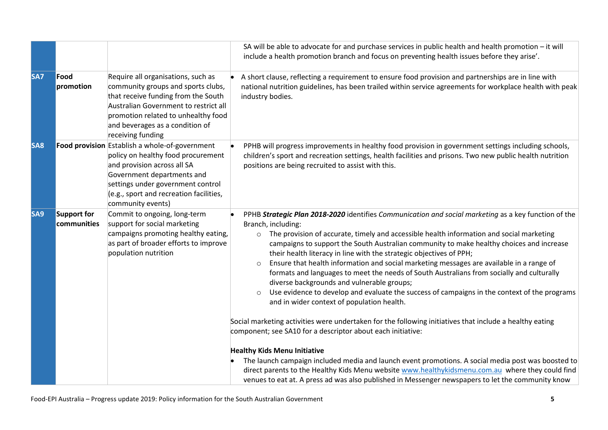|                 |                            |                                                                                                                                                                                                                                                         | SA will be able to advocate for and purchase services in public health and health promotion - it will<br>include a health promotion branch and focus on preventing health issues before they arise'.                                                                                                                                                                                                                                                                                                                                                                                                                                                                                                                                                                                                                                                                                                                                                                                                                                                                                                                                                                                                                                                                                                                                            |
|-----------------|----------------------------|---------------------------------------------------------------------------------------------------------------------------------------------------------------------------------------------------------------------------------------------------------|-------------------------------------------------------------------------------------------------------------------------------------------------------------------------------------------------------------------------------------------------------------------------------------------------------------------------------------------------------------------------------------------------------------------------------------------------------------------------------------------------------------------------------------------------------------------------------------------------------------------------------------------------------------------------------------------------------------------------------------------------------------------------------------------------------------------------------------------------------------------------------------------------------------------------------------------------------------------------------------------------------------------------------------------------------------------------------------------------------------------------------------------------------------------------------------------------------------------------------------------------------------------------------------------------------------------------------------------------|
| <b>SA7</b>      | Food<br>promotion          | Require all organisations, such as<br>community groups and sports clubs,<br>that receive funding from the South<br>Australian Government to restrict all<br>promotion related to unhealthy food<br>and beverages as a condition of<br>receiving funding | A short clause, reflecting a requirement to ensure food provision and partnerships are in line with<br>national nutrition guidelines, has been trailed within service agreements for workplace health with peak<br>industry bodies.                                                                                                                                                                                                                                                                                                                                                                                                                                                                                                                                                                                                                                                                                                                                                                                                                                                                                                                                                                                                                                                                                                             |
| SA <sub>8</sub> |                            | Food provision Establish a whole-of-government<br>policy on healthy food procurement<br>and provision across all SA<br>Government departments and<br>settings under government control<br>(e.g., sport and recreation facilities,<br>community events)  | PPHB will progress improvements in healthy food provision in government settings including schools,<br>children's sport and recreation settings, health facilities and prisons. Two new public health nutrition<br>positions are being recruited to assist with this.                                                                                                                                                                                                                                                                                                                                                                                                                                                                                                                                                                                                                                                                                                                                                                                                                                                                                                                                                                                                                                                                           |
| SA <sub>9</sub> | Support for<br>communities | Commit to ongoing, long-term<br>support for social marketing<br>campaigns promoting healthy eating,<br>as part of broader efforts to improve<br>population nutrition                                                                                    | PPHB Strategic Plan 2018-2020 identifies Communication and social marketing as a key function of the<br>Branch, including:<br>The provision of accurate, timely and accessible health information and social marketing<br>$\circ$<br>campaigns to support the South Australian community to make healthy choices and increase<br>their health literacy in line with the strategic objectives of PPH;<br>Ensure that health information and social marketing messages are available in a range of<br>$\circ$<br>formats and languages to meet the needs of South Australians from socially and culturally<br>diverse backgrounds and vulnerable groups;<br>Use evidence to develop and evaluate the success of campaigns in the context of the programs<br>$\circ$<br>and in wider context of population health.<br>Social marketing activities were undertaken for the following initiatives that include a healthy eating<br>component; see SA10 for a descriptor about each initiative:<br><b>Healthy Kids Menu Initiative</b><br>The launch campaign included media and launch event promotions. A social media post was boosted to<br>direct parents to the Healthy Kids Menu website www.healthykidsmenu.com.au where they could find<br>venues to eat at. A press ad was also published in Messenger newspapers to let the community know |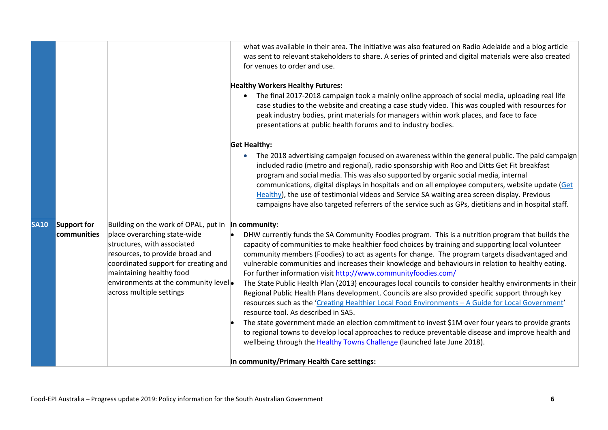|             |                                   |                                                                                                                                                                                                                                                                                              | what was available in their area. The initiative was also featured on Radio Adelaide and a blog article<br>was sent to relevant stakeholders to share. A series of printed and digital materials were also created<br>for venues to order and use.                                                                                                                                                                                                                                                                                                                                                                                                                                                                                                                                                                                                                                                                                                                                                                                                                                                                                  |
|-------------|-----------------------------------|----------------------------------------------------------------------------------------------------------------------------------------------------------------------------------------------------------------------------------------------------------------------------------------------|-------------------------------------------------------------------------------------------------------------------------------------------------------------------------------------------------------------------------------------------------------------------------------------------------------------------------------------------------------------------------------------------------------------------------------------------------------------------------------------------------------------------------------------------------------------------------------------------------------------------------------------------------------------------------------------------------------------------------------------------------------------------------------------------------------------------------------------------------------------------------------------------------------------------------------------------------------------------------------------------------------------------------------------------------------------------------------------------------------------------------------------|
|             |                                   |                                                                                                                                                                                                                                                                                              | <b>Healthy Workers Healthy Futures:</b><br>The final 2017-2018 campaign took a mainly online approach of social media, uploading real life<br>case studies to the website and creating a case study video. This was coupled with resources for<br>peak industry bodies, print materials for managers within work places, and face to face<br>presentations at public health forums and to industry bodies.                                                                                                                                                                                                                                                                                                                                                                                                                                                                                                                                                                                                                                                                                                                          |
|             |                                   |                                                                                                                                                                                                                                                                                              | <b>Get Healthy:</b><br>The 2018 advertising campaign focused on awareness within the general public. The paid campaign<br>included radio (metro and regional), radio sponsorship with Roo and Ditts Get Fit breakfast<br>program and social media. This was also supported by organic social media, internal<br>communications, digital displays in hospitals and on all employee computers, website update (Get<br>Healthy), the use of testimonial videos and Service SA waiting area screen display. Previous<br>campaigns have also targeted referrers of the service such as GPs, dietitians and in hospital staff.                                                                                                                                                                                                                                                                                                                                                                                                                                                                                                            |
| <b>SA10</b> | <b>Support for</b><br>communities | Building on the work of OPAL, put in In community:<br>place overarching state-wide<br>structures, with associated<br>resources, to provide broad and<br>coordinated support for creating and<br>maintaining healthy food<br>environments at the community level.<br>across multiple settings | DHW currently funds the SA Community Foodies program. This is a nutrition program that builds the<br>capacity of communities to make healthier food choices by training and supporting local volunteer<br>community members (Foodies) to act as agents for change. The program targets disadvantaged and<br>vulnerable communities and increases their knowledge and behaviours in relation to healthy eating.<br>For further information visit http://www.communityfoodies.com/<br>The State Public Health Plan (2013) encourages local councils to consider healthy environments in their<br>Regional Public Health Plans development. Councils are also provided specific support through key<br>resources such as the 'Creating Healthier Local Food Environments - A Guide for Local Government'<br>resource tool. As described in SA5.<br>The state government made an election commitment to invest \$1M over four years to provide grants<br>to regional towns to develop local approaches to reduce preventable disease and improve health and<br>wellbeing through the Healthy Towns Challenge (launched late June 2018). |
|             |                                   |                                                                                                                                                                                                                                                                                              | In community/Primary Health Care settings:                                                                                                                                                                                                                                                                                                                                                                                                                                                                                                                                                                                                                                                                                                                                                                                                                                                                                                                                                                                                                                                                                          |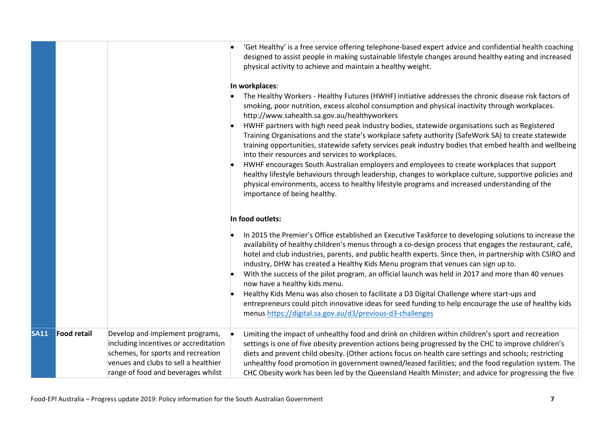|             |                    |                                                                                                                                                                                              | 'Get Healthy' is a free service offering telephone-based expert advice and confidential health coaching<br>designed to assist people in making sustainable lifestyle changes around healthy eating and increased<br>physical activity to achieve and maintain a healthy weight.                                                                                                                                                                                                                                                                                                                                                                                                                                                                                                                                                                                                                                                                                                            |
|-------------|--------------------|----------------------------------------------------------------------------------------------------------------------------------------------------------------------------------------------|--------------------------------------------------------------------------------------------------------------------------------------------------------------------------------------------------------------------------------------------------------------------------------------------------------------------------------------------------------------------------------------------------------------------------------------------------------------------------------------------------------------------------------------------------------------------------------------------------------------------------------------------------------------------------------------------------------------------------------------------------------------------------------------------------------------------------------------------------------------------------------------------------------------------------------------------------------------------------------------------|
|             |                    |                                                                                                                                                                                              | In workplaces:<br>The Healthy Workers - Healthy Futures (HWHF) initiative addresses the chronic disease risk factors of<br>smoking, poor nutrition, excess alcohol consumption and physical inactivity through workplaces.<br>http://www.sahealth.sa.gov.au/healthyworkers<br>HWHF partners with high need peak industry bodies, statewide organisations such as Registered<br>Training Organisations and the state's workplace safety authority (SafeWork SA) to create statewide<br>training opportunities, statewide safety services peak industry bodies that embed health and wellbeing<br>into their resources and services to workplaces.<br>HWHF encourages South Australian employers and employees to create workplaces that support<br>healthy lifestyle behaviours through leadership, changes to workplace culture, supportive policies and<br>physical environments, access to healthy lifestyle programs and increased understanding of the<br>importance of being healthy. |
|             |                    |                                                                                                                                                                                              | In food outlets:                                                                                                                                                                                                                                                                                                                                                                                                                                                                                                                                                                                                                                                                                                                                                                                                                                                                                                                                                                           |
|             |                    |                                                                                                                                                                                              | In 2015 the Premier's Office established an Executive Taskforce to developing solutions to increase the<br>availability of healthy children's menus through a co-design process that engages the restaurant, café,<br>hotel and club industries, parents, and public health experts. Since then, in partnership with CSIRO and<br>industry, DHW has created a Healthy Kids Menu program that venues can sign up to.<br>With the success of the pilot program, an official launch was held in 2017 and more than 40 venues<br>now have a healthy kids menu.                                                                                                                                                                                                                                                                                                                                                                                                                                 |
|             |                    |                                                                                                                                                                                              | Healthy Kids Menu was also chosen to facilitate a D3 Digital Challenge where start-ups and<br>entrepreneurs could pitch innovative ideas for seed funding to help encourage the use of healthy kids<br>menus https://digital.sa.gov.au/d3/previous-d3-challenges                                                                                                                                                                                                                                                                                                                                                                                                                                                                                                                                                                                                                                                                                                                           |
| <b>SA11</b> | <b>Food retail</b> | Develop and implement programs,<br>including incentives or accreditation<br>schemes, for sports and recreation<br>venues and clubs to sell a healthier<br>range of food and beverages whilst | Limiting the impact of unhealthy food and drink on children within children's sport and recreation<br>settings is one of five obesity prevention actions being progressed by the CHC to improve children's<br>diets and prevent child obesity. (Other actions focus on health care settings and schools; restricting<br>unhealthy food promotion in government owned/leased facilities; and the food regulation system. The<br>CHC Obesity work has been led by the Queensland Health Minister; and advice for progressing the five                                                                                                                                                                                                                                                                                                                                                                                                                                                        |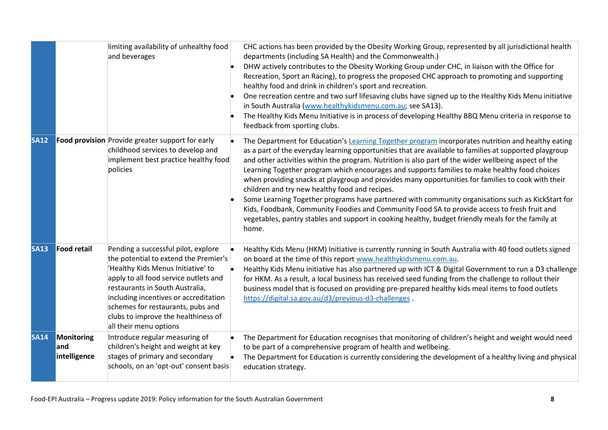|             |                                   | limiting availability of unhealthy food<br>and beverages                                                                                                                                                                                                                                                                                      | CHC actions has been provided by the Obesity Working Group, represented by all jurisdictional health<br>departments (including SA Health) and the Commonwealth.)<br>DHW actively contributes to the Obesity Working Group under CHC, in liaison with the Office for<br>Recreation, Sport an Racing), to progress the proposed CHC approach to promoting and supporting<br>healthy food and drink in children's sport and recreation.<br>One recreation centre and two surf lifesaving clubs have signed up to the Healthy Kids Menu initiative<br>in South Australia (www.healthykidsmenu.com.au; see SA13).<br>The Healthy Kids Menu Initiative is in process of developing Healthy BBQ Menu criteria in response to<br>feedback from sporting clubs.                                                                                                                                            |
|-------------|-----------------------------------|-----------------------------------------------------------------------------------------------------------------------------------------------------------------------------------------------------------------------------------------------------------------------------------------------------------------------------------------------|---------------------------------------------------------------------------------------------------------------------------------------------------------------------------------------------------------------------------------------------------------------------------------------------------------------------------------------------------------------------------------------------------------------------------------------------------------------------------------------------------------------------------------------------------------------------------------------------------------------------------------------------------------------------------------------------------------------------------------------------------------------------------------------------------------------------------------------------------------------------------------------------------|
| <b>SA12</b> |                                   | Food provision Provide greater support for early<br>childhood services to develop and<br>implement best practice healthy food<br>policies                                                                                                                                                                                                     | The Department for Education's Learning Together program incorporates nutrition and healthy eating<br>as a part of the everyday learning opportunities that are available to families at supported playgroup<br>and other activities within the program. Nutrition is also part of the wider wellbeing aspect of the<br>Learning Together program which encourages and supports families to make healthy food choices<br>when providing snacks at playgroup and provides many opportunities for families to cook with their<br>children and try new healthy food and recipes.<br>Some Learning Together programs have partnered with community organisations such as KickStart for<br>Kids, Foodbank, Community Foodies and Community Food SA to provide access to fresh fruit and<br>vegetables, pantry stables and support in cooking healthy, budget friendly meals for the family at<br>home. |
| <b>SA13</b> | <b>Food retail</b>                | Pending a successful pilot, explore<br>the potential to extend the Premier's<br>'Healthy Kids Menus Initiative' to<br>apply to all food service outlets and<br>restaurants in South Australia,<br>including incentives or accreditation<br>schemes for restaurants, pubs and<br>clubs to improve the healthiness of<br>all their menu options | Healthy Kids Menu (HKM) Initiative is currently running in South Australia with 40 food outlets signed<br>on board at the time of this report www.healthykidsmenu.com.au.<br>Healthy Kids Menu initiative has also partnered up with ICT & Digital Government to run a D3 challenge<br>for HKM. As a result, a local business has received seed funding from the challenge to rollout their<br>business model that is focused on providing pre-prepared healthy kids meal items to food outlets<br>https://digital.sa.gov.au/d3/previous-d3-challenges.                                                                                                                                                                                                                                                                                                                                           |
| <b>SA14</b> | Monitoring<br>and<br>intelligence | Introduce regular measuring of<br>children's height and weight at key<br>stages of primary and secondary<br>schools, on an 'opt-out' consent basis                                                                                                                                                                                            | The Department for Education recognises that monitoring of children's height and weight would need<br>to be part of a comprehensive program of health and wellbeing.<br>The Department for Education is currently considering the development of a healthy living and physical<br>education strategy.                                                                                                                                                                                                                                                                                                                                                                                                                                                                                                                                                                                             |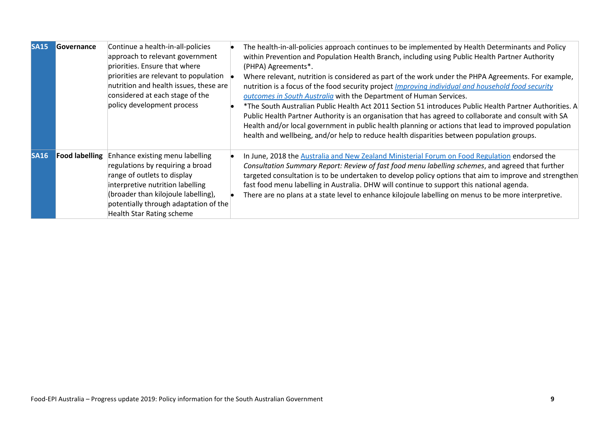| <b>SA15</b> | Governance            | Continue a health-in-all-policies<br>approach to relevant government<br>priorities. Ensure that where<br>priorities are relevant to population<br>nutrition and health issues, these are<br>considered at each stage of the<br>policy development process  | The health-in-all-policies approach continues to be implemented by Health Determinants and Policy<br>within Prevention and Population Health Branch, including using Public Health Partner Authority<br>(PHPA) Agreements*.<br>Where relevant, nutrition is considered as part of the work under the PHPA Agreements. For example,<br>nutrition is a focus of the food security project Improving individual and household food security<br>outcomes in South Australia with the Department of Human Services.<br>*The South Australian Public Health Act 2011 Section 51 introduces Public Health Partner Authorities. A<br>Public Health Partner Authority is an organisation that has agreed to collaborate and consult with SA<br>Health and/or local government in public health planning or actions that lead to improved population<br>health and wellbeing, and/or help to reduce health disparities between population groups. |
|-------------|-----------------------|------------------------------------------------------------------------------------------------------------------------------------------------------------------------------------------------------------------------------------------------------------|-----------------------------------------------------------------------------------------------------------------------------------------------------------------------------------------------------------------------------------------------------------------------------------------------------------------------------------------------------------------------------------------------------------------------------------------------------------------------------------------------------------------------------------------------------------------------------------------------------------------------------------------------------------------------------------------------------------------------------------------------------------------------------------------------------------------------------------------------------------------------------------------------------------------------------------------|
| <b>SA16</b> | <b>Food labelling</b> | Enhance existing menu labelling<br>regulations by requiring a broad<br>range of outlets to display<br>interpretive nutrition labelling<br>(broader than kilojoule labelling),<br>potentially through adaptation of the<br><b>Health Star Rating scheme</b> | In June, 2018 the Australia and New Zealand Ministerial Forum on Food Regulation endorsed the<br>Consultation Summary Report: Review of fast food menu labelling schemes, and agreed that further<br>targeted consultation is to be undertaken to develop policy options that aim to improve and strengthen<br>fast food menu labelling in Australia. DHW will continue to support this national agenda.<br>There are no plans at a state level to enhance kilojoule labelling on menus to be more interpretive.                                                                                                                                                                                                                                                                                                                                                                                                                        |